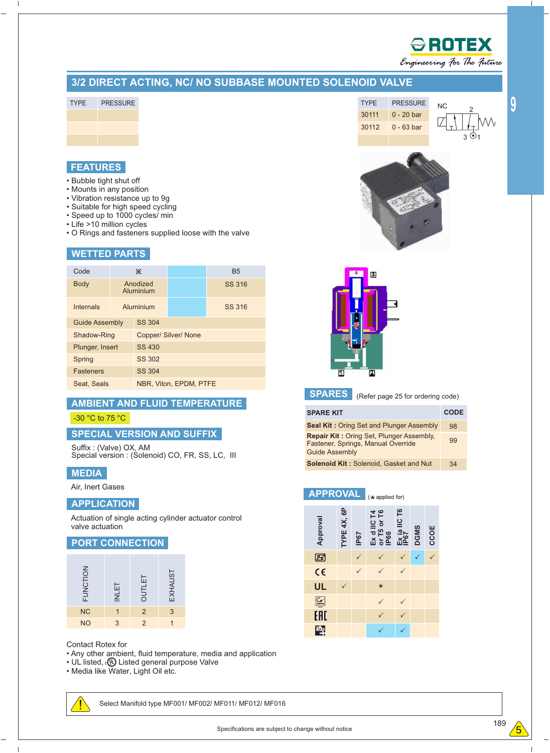

Engineering For The Future

**9**

## **3/2 DIRECT ACTING, NC/ NO SUBBASE MOUNTED SOLENOID VALVE**

TYPE PRESSURE



## **FEATURES**

- Bubble tight shut off
- Mounts in any position
- Vibration resistance up to 9g
- Suitable for high speed cycling
- Speed up to 1000 cycles/ min • Life >10 million cycles
- O Rings and fasteners supplied loose with the valve

## **WETTED PARTS**

| Code                  | X                           |                        | <b>B5</b> |  |  |  |  |  |  |  |  |
|-----------------------|-----------------------------|------------------------|-----------|--|--|--|--|--|--|--|--|
| <b>Body</b>           | Anodized<br>Aluminium       |                        | SS 316    |  |  |  |  |  |  |  |  |
| <b>Internals</b>      | Aluminium                   |                        | SS 316    |  |  |  |  |  |  |  |  |
| <b>Guide Assembly</b> | SS 304                      |                        |           |  |  |  |  |  |  |  |  |
| Shadow-Ring           | <b>Copper/ Silver/ None</b> |                        |           |  |  |  |  |  |  |  |  |
| Plunger, Insert       | SS 430                      |                        |           |  |  |  |  |  |  |  |  |
| Spring                | SS 302                      |                        |           |  |  |  |  |  |  |  |  |
| <b>Fasteners</b>      | SS 304                      |                        |           |  |  |  |  |  |  |  |  |
| Seat, Seals           |                             | NBR. Viton, EPDM, PTFE |           |  |  |  |  |  |  |  |  |

## **AMBIENT AND FLUID TEMPERATURE**

#### -30 °C to 75 °C

## **SPECIAL VERSION AND SUFFIX**

Suffix : (Valve) OX, AM Special version : (Solenoid) CO, FR, SS, LC, III

#### **MEDIA**

Air, Inert Gases

## **APPLICATION**

Actuation of single acting cylinder actuator control valve actuation

#### **PORT CONNECTION**

| FUNCTION  | <b>INLET</b> | <b>OUTLET</b> | EXHAUST |
|-----------|--------------|---------------|---------|
| <b>NC</b> |              | $\mathcal{P}$ | 3       |
| <b>NO</b> | 3            |               |         |

Contact Rotex for

- Any other ambient, fluid temperature, media and application
- UL listed, **(0)** Listed general purpose Valve
- Media like Water, Light Oil etc.



Select Manifold type MF001/ MF002/ MF011/ MF012/ MF016







**APPROVAL**

**SPARES** (Refer page 25 for ordering code)

| <b>SPARE KIT</b>                                                                                               | <b>CODE</b> |
|----------------------------------------------------------------------------------------------------------------|-------------|
| <b>Seal Kit: Oring Set and Plunger Assembly</b>                                                                | 98          |
| <b>Repair Kit: Oring Set, Plunger Assembly,</b><br>Fastener, Springs, Manual Override<br><b>Guide Assembly</b> | 99          |
| <b>Solenoid Kit: Solenoid, Gasket and Nut</b>                                                                  | 34          |

 $(*$  applied for) **TYPE 4X, 6P IIC T6 T4**



 $\mathbf{I}$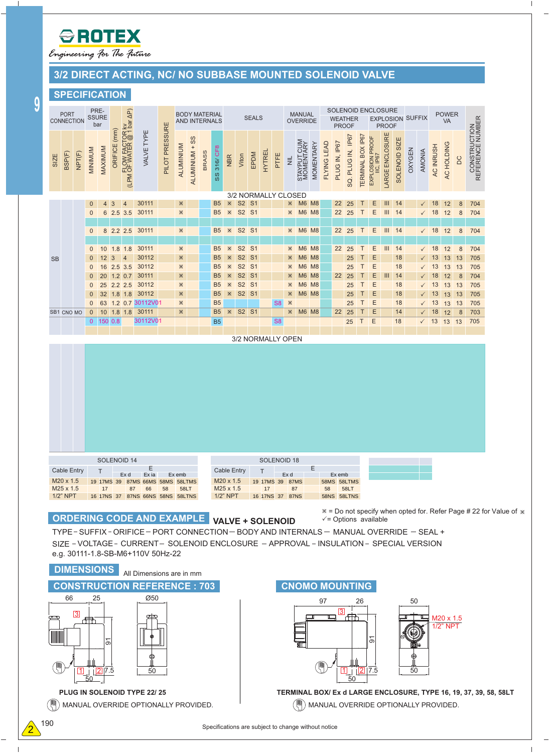

Engineering for The Future

# **3/2 DIRECT ACTING, NC/ NO SUBBASE MOUNTED SOLENOID VALVE**

 $\overline{\phantom{a}}$ 

 $\overline{1}$ 

# **SPECIFICATION**

|             | <b>PORT</b><br>CONNECTION                                          |                   |                              | PRE-<br><b>SSURE</b><br>bar |                |                             |                                                                                                                                                                                                                                                     |                |                | <b>BODY MATERIAL</b><br>AND INTERNALS |              |                                  |                                                             |                                        | <b>SEALS</b> |               |                                                      |             | <b>MANUAL</b><br><b>OVERRIDE</b> |                  |             | <b>WEATHER</b><br><b>PROOF</b>                                                     |                              |                   | SOLENOID ENCLOSURE<br><b>EXPLOSION SUFFIX</b><br><b>PROOF</b> |                        |               |          |                              | <b>POWER</b><br>VA |                            |                        |                                  |                                                                   |
|-------------|--------------------------------------------------------------------|-------------------|------------------------------|-----------------------------|----------------|-----------------------------|-----------------------------------------------------------------------------------------------------------------------------------------------------------------------------------------------------------------------------------------------------|----------------|----------------|---------------------------------------|--------------|----------------------------------|-------------------------------------------------------------|----------------------------------------|--------------|---------------|------------------------------------------------------|-------------|----------------------------------|------------------|-------------|------------------------------------------------------------------------------------|------------------------------|-------------------|---------------------------------------------------------------|------------------------|---------------|----------|------------------------------|--------------------|----------------------------|------------------------|----------------------------------|-------------------------------------------------------------------|
| <b>SIZE</b> | BSP(F)                                                             | NPT(F)            | <b>MINIMUM</b>               | MAXIMUM                     | ORIFICE (mm)   | (LPM OF WATER @ 1 bar AP)   | VALVE TYPE                                                                                                                                                                                                                                          | PILOT PRESSURE | ALUMINIUM      | ALUMINIUM + SS                        | <b>BRASS</b> | 316/ CF8<br>SS                   | <b>NBR</b>                                                  | Viton                                  | EPDM         | <b>HYTREL</b> | PTFE                                                 | $\equiv$    | STAYPUT CUM<br>MOMENTARY         | <b>MOMENTARY</b> | FLYING LEAD | PLUG IN, IP67                                                                      | SQ. PLUG IN, IP67            | TERMINAL BOX IP67 | EXPLOSION PROOF<br>IIC, IP67                                  | <b>LARGE ENCLOSURE</b> | SOLENOID SIZE | OXYGEN   | <b>AMONIA</b>                | AC INRUSH          | AC HOLDING                 | DC                     | CONSTRUCTION<br>REFERENCE NUMBER |                                                                   |
|             |                                                                    |                   |                              |                             | $\overline{3}$ | $\overline{4}$              | 30111                                                                                                                                                                                                                                               |                | <b>X</b>       |                                       |              | B <sub>5</sub>                   | $\mathbb{X}$                                                | S <sub>2</sub> S <sub>1</sub>          |              |               | 3/2 NORMALLY CLOSED                                  | ×.          | M6 M8                            |                  |             | 22                                                                                 |                              | Τ                 | Ε                                                             | Ш                      | 14            |          |                              |                    |                            |                        | 704                              |                                                                   |
|             |                                                                    |                   | $\mathbf 0$<br>$\mathbf{0}$  | 4<br>6                      |                | 2.5 3.5                     | 30111                                                                                                                                                                                                                                               |                | <b>X</b>       |                                       |              | <b>B5</b>                        | $\mathbb{X}$                                                | S2 S1                                  |              |               |                                                      | ×           | <b>M6 M8</b>                     |                  |             | 22                                                                                 | 25<br>25                     | Τ                 | Ε                                                             | $\mathbf{III}$         | 14            |          | $\checkmark$<br>$\checkmark$ | 18<br>18           | 12<br>12                   | 8<br>$\bf 8$           | 704                              |                                                                   |
|             |                                                                    |                   | 0                            |                             |                | 8 2.2 2.5                   | 30111                                                                                                                                                                                                                                               |                | $\mathbb{X}$   |                                       |              | <b>B5</b>                        | $\mathbb{X}$                                                | S <sub>2</sub> S <sub>1</sub>          |              |               |                                                      |             | <b>*</b> M6 M8                   |                  |             | 22 25                                                                              |                              | Τ                 | Е                                                             | $\mathbf{III}$         | 14            |          |                              | $\sqrt{18}$ 12     |                            | 8                      | 704                              |                                                                   |
|             |                                                                    |                   |                              |                             |                |                             |                                                                                                                                                                                                                                                     |                |                |                                       |              |                                  |                                                             |                                        |              |               |                                                      |             |                                  |                  |             |                                                                                    |                              |                   |                                                               |                        |               |          |                              |                    |                            |                        |                                  |                                                                   |
| <b>SB</b>   |                                                                    |                   | 0<br>$\mathbf 0$             | 10<br>12                    | $\overline{3}$ | $1.8$ 1.8<br>$\overline{4}$ | 30111<br>30112                                                                                                                                                                                                                                      |                | <b>X</b><br>×. |                                       |              | <b>B5</b><br><b>B5</b>           | <b>X</b><br>×.                                              | S2 S1<br>S2 S1                         |              |               |                                                      | X.<br>×.    | <b>M6 M8</b><br><b>M6 M8</b>     |                  |             | 22                                                                                 | 25<br>25                     | Т                 | Ε<br>E                                                        | III                    | 14<br>18      |          | $\checkmark$                 | 18<br>13           | 12<br>13                   | $\boldsymbol{8}$<br>13 | 704<br>705                       |                                                                   |
|             |                                                                    |                   | $\mathbf{0}$                 |                             |                | 16 2.5 3.5                  | 30112                                                                                                                                                                                                                                               |                | ×.             |                                       |              | B <sub>5</sub>                   | Ж                                                           | S <sub>2</sub> S <sub>1</sub>          |              |               |                                                      | ×.          | <b>M6 M8</b>                     |                  |             |                                                                                    | 25                           | Τ                 | E                                                             |                        | 18            |          |                              | 13                 | 13                         | 13                     | 705                              |                                                                   |
|             |                                                                    |                   | $\mathbf 0$<br>$\mathbf{0}$  | 20                          |                | $1.2$ 0.7<br>25 2.2 2.5     | 30111<br>30112                                                                                                                                                                                                                                      |                | ×.<br>×.       |                                       |              | B <sub>5</sub><br>B <sub>5</sub> | Ж<br>Ж                                                      | S <sub>2</sub> S <sub>1</sub><br>S2 S1 |              |               |                                                      | ⋇<br>Ж      | <b>M6 M8</b><br><b>M6 M8</b>     |                  |             | 22                                                                                 | 25<br>25                     | Т                 | Ε<br>E                                                        | Ш                      | 14<br>18      |          | $\checkmark$                 | 18<br>13           | 12<br>13                   | $\boldsymbol{8}$<br>13 | 704<br>705                       |                                                                   |
|             |                                                                    |                   | $\mathbf{0}$                 |                             |                | 32 1.8 1.8                  | 30112                                                                                                                                                                                                                                               |                | Ж              |                                       |              | B <sub>5</sub>                   |                                                             | <b>* S2 S1</b>                         |              |               |                                                      | ×.          | <b>M6 M8</b>                     |                  |             |                                                                                    | 25                           | т                 | E                                                             |                        | 18            |          | $\checkmark$                 | 13                 | 13                         | 13                     | 705                              |                                                                   |
|             | SB1 CNO MO                                                         |                   | $\mathbf{0}$<br>$\mathbf{0}$ |                             |                | $10$ 1.8 1.8                | 63 1.2 0.7 30112V01<br>30111                                                                                                                                                                                                                        |                | Ж<br>×.        |                                       |              | <b>B5</b><br>B5                  |                                                             | <b>* S2 S1</b>                         |              |               | S <sub>8</sub>                                       | Ж           | $\frac{1}{2}$ M6 M8              |                  |             | 22                                                                                 | 25<br>25                     | Т<br>Т            | Ε<br>E                                                        |                        | 18<br>14      |          | $\checkmark$<br>$\checkmark$ | 13<br>18           | 13<br>12                   | 13<br>8                | 705<br>703                       |                                                                   |
|             |                                                                    |                   | $\mathbf{0}$                 | 150 0.8                     |                |                             | 30112V01                                                                                                                                                                                                                                            |                |                |                                       |              | B <sub>5</sub>                   |                                                             |                                        |              |               | S <sub>8</sub>                                       |             |                                  |                  |             |                                                                                    | 25                           | Τ                 | E                                                             |                        | 18            |          | $\checkmark$                 | 13                 | 13 13                      |                        | 705                              |                                                                   |
|             |                                                                    |                   |                              |                             |                |                             |                                                                                                                                                                                                                                                     |                |                |                                       |              |                                  |                                                             |                                        |              |               | 3/2 NORMALLY OPEN                                    |             |                                  |                  |             |                                                                                    |                              |                   |                                                               |                        |               |          |                              |                    |                            |                        |                                  |                                                                   |
|             | <b>Cable Entry</b><br>M20 x 1.5<br>$M25 \times 1.5$<br>$1/2$ " NPT |                   |                              | Τ                           |                | SOLENOID 14<br><b>OcA</b>   | $E_{\hat{O} \notin \hat{A} \hat{B} \hat{B}}$<br>FJFÏTÙ HJÌTÙ ÎÎTÙ ÍÌTÙ ÍÌŠVTÙ<br>$\blacksquare$<br>FÎ FÏÞÙ HĪ ÌÏÞÙ ÎÎÞÙ ÍÌÞÙ ÍÌŠVÞÙ                                                                                                                 |                | Ò¢Á{ à         |                                       |              |                                  | <b>Cable Entry</b><br>M20 x 1.5<br>M25 x 1.5<br>$1/2$ " NPT |                                        |              |               | SOLENOID 18<br>FJ FÏTÙ HJ ÌÏTÙ<br>FÎ FÎ ÞÙ HĪ Ì Ī ÞÙ | <b>Oc/a</b> |                                  | Ε                |             | $O\sharp A\{a$<br>ÍÌTÙ ÍÌŠVTÙ<br>$\frac{11}{11}$ $\frac{11}{11}$ SV<br>ÍÌÞÙ ÍÌŠVÞÙ |                              |                   |                                                               |                        |               |          |                              |                    |                            |                        |                                  |                                                                   |
|             |                                                                    |                   |                              |                             |                |                             | <b>ORDERING CODE AND EXAMPLE</b><br>TYPE-SUFFIX-ORIFICE-PORT CONNECTION-BODY AND INTERNALS-MANUAL OVERRIDE - SEAL +<br>SIZE - VOLTAGE - CURRENT - SOLENOID ENCLOSURE - APPROVAL - INSULATION - SPECIAL VERSION<br>e.g. 30111-1.8-SB-M6+110V 50Hz-22 |                |                |                                       |              | <b>VALVE + SOLENOID</b>          |                                                             |                                        |              |               |                                                      |             |                                  |                  |             | $\checkmark$ = Options available                                                   |                              |                   |                                                               |                        |               |          |                              |                    |                            |                        |                                  | * = Do not specify when opted for. Refer Page # 22 for Value of * |
|             |                                                                    | <b>DIMENSIONS</b> |                              |                             |                |                             | All Dimensions are in mm                                                                                                                                                                                                                            |                |                |                                       |              |                                  |                                                             |                                        |              |               |                                                      |             |                                  |                  |             |                                                                                    |                              |                   |                                                               |                        |               |          |                              |                    |                            |                        |                                  |                                                                   |
|             |                                                                    |                   |                              |                             |                |                             | <b>CONSTRUCTION REFERENCE: 703</b>                                                                                                                                                                                                                  |                |                |                                       |              |                                  |                                                             |                                        |              |               |                                                      |             |                                  |                  |             | <b>CNOMO MOUNTING</b>                                                              |                              |                   |                                                               |                        |               |          |                              |                    |                            |                        |                                  |                                                                   |
| ⊞           | 66                                                                 | $\vert 3 \vert$   | 25<br>Æb<br>50               | వ్<br>11  2 7.5             |                |                             | $\varnothing$ 50<br>⊕<br>50                                                                                                                                                                                                                         |                |                |                                       |              |                                  |                                                             |                                        |              |               |                                                      |             |                                  |                  | 97          | $\overline{3}$<br>⊏<br>$\vert$ 1 $\vert$                                           | iffh<br>$\sqrt{2}$ 7.5<br>50 | 26                | ଚ                                                             |                        |               | 50<br>50 |                              |                    | M20 x 1.5<br>$1/2$ " $NPT$ |                        |                                  |                                                                   |
|             |                                                                    |                   |                              |                             |                |                             | <b>PLUG IN SOLENOID TYPE 22/25</b>                                                                                                                                                                                                                  |                |                |                                       |              |                                  |                                                             |                                        |              |               |                                                      |             |                                  |                  |             |                                                                                    |                              |                   |                                                               |                        |               |          |                              |                    |                            |                        |                                  | TERMINAL BOX/ Ex d LARGE ENCLOSURE, TYPE 16, 19, 37, 39, 58, 58LT |
|             |                                                                    |                   |                              |                             |                |                             | MANUAL OVERRIDE OPTIONALLY PROVIDED.                                                                                                                                                                                                                |                |                |                                       |              |                                  |                                                             |                                        |              |               |                                                      |             |                                  |                  |             | MANUAL OVERRIDE OPTIONALLY PROVIDED.                                               |                              |                   |                                                               |                        |               |          |                              |                    |                            |                        |                                  |                                                                   |

 $\sqrt{G}$ 

 $\overline{\phantom{a}}$ 

 $\equiv$